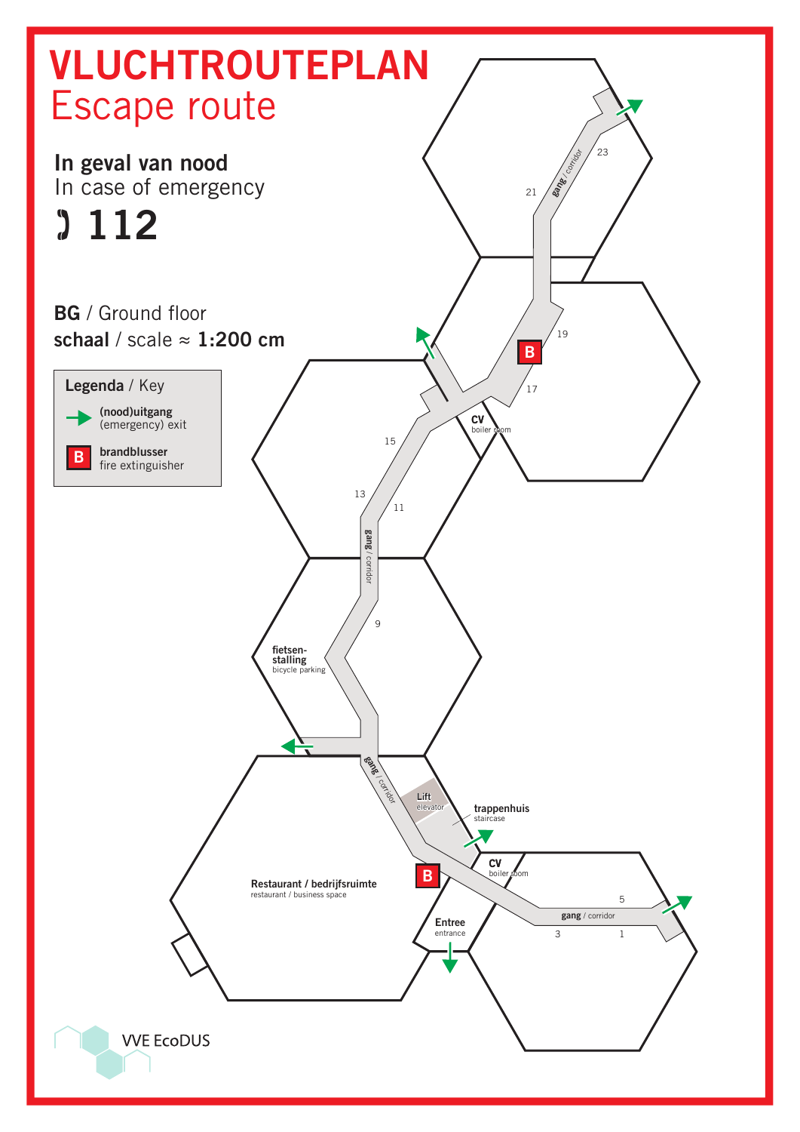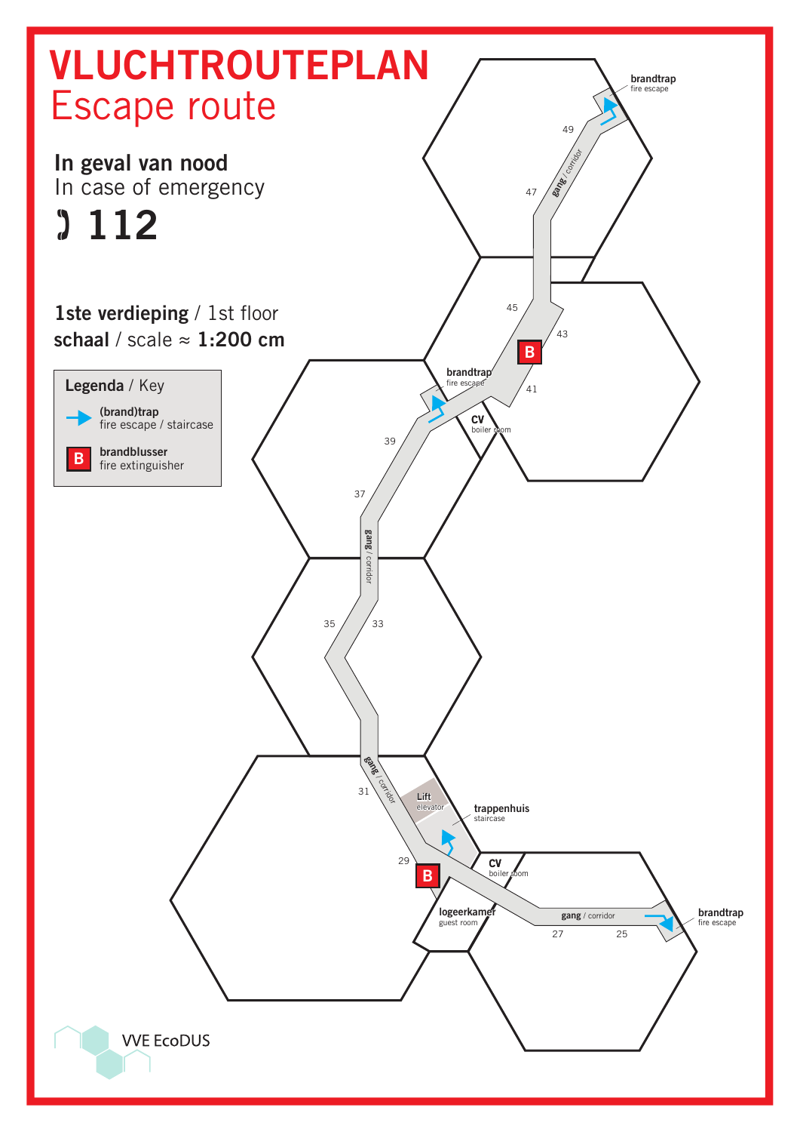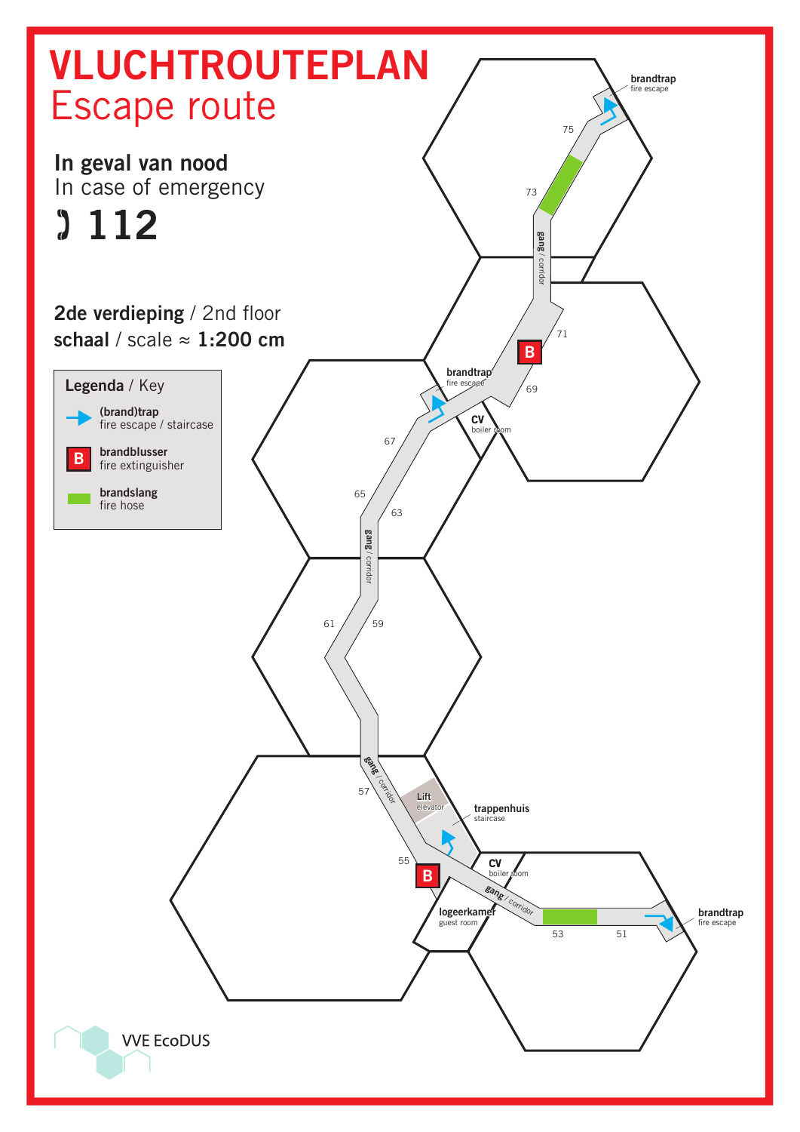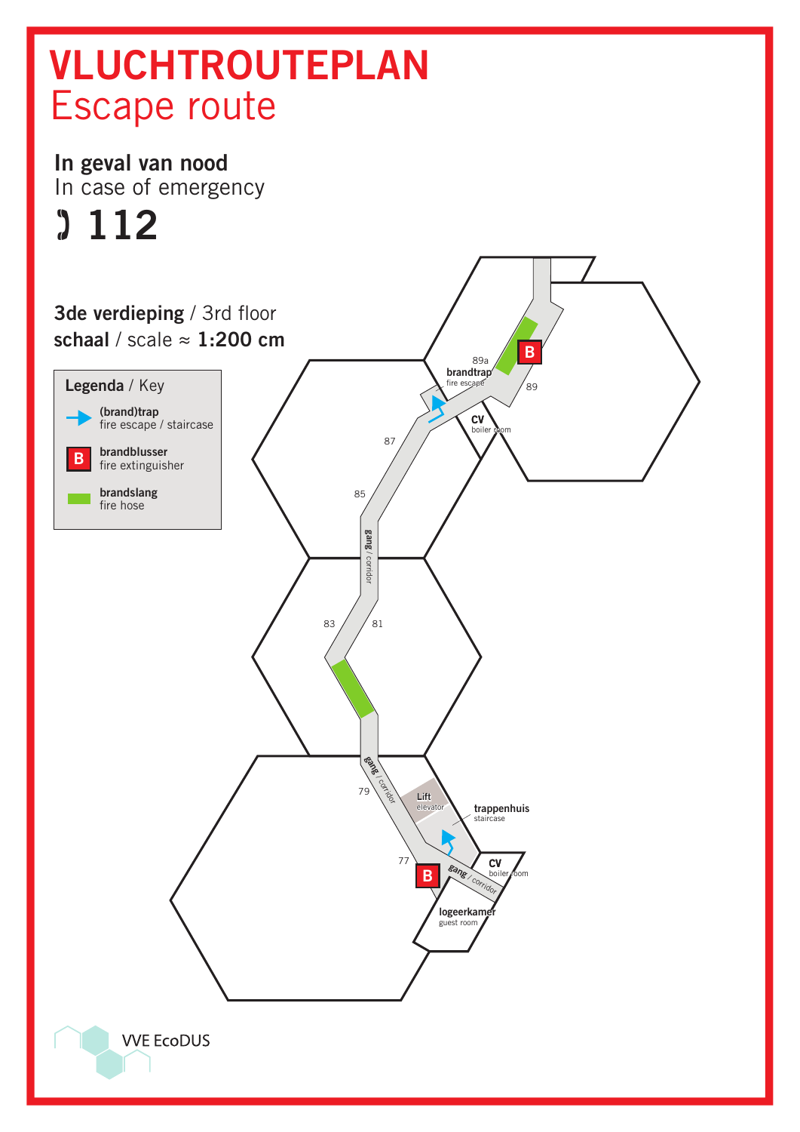## VLUCHTROUTEPLAN Escape route

## In geval van nood In case of emergency

## $3112$